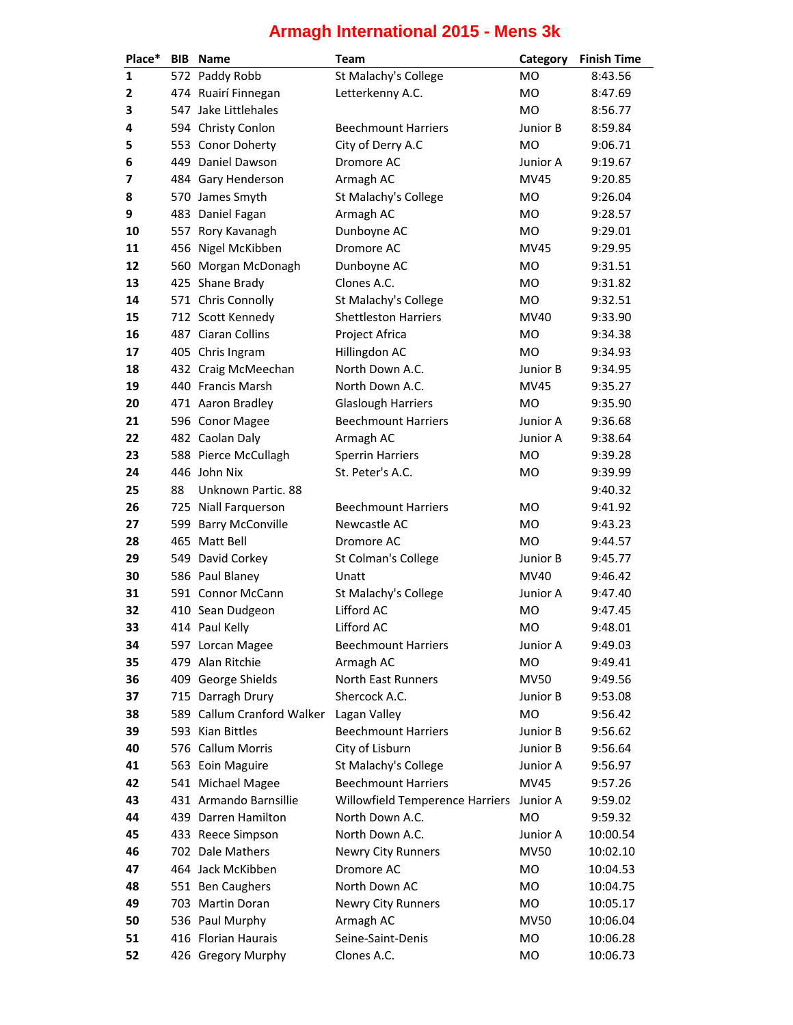| Place* |    | <b>BIB</b> Name                       | <b>Team</b>                                | Category        | <b>Finish Time</b> |
|--------|----|---------------------------------------|--------------------------------------------|-----------------|--------------------|
| 1      |    | 572 Paddy Robb                        | St Malachy's College                       | MO              | 8:43.56            |
| 2      |    | 474 Ruairí Finnegan                   | Letterkenny A.C.                           | <b>MO</b>       | 8:47.69            |
| 3      |    | 547 Jake Littlehales                  |                                            | MO              | 8:56.77            |
| 4      |    | 594 Christy Conlon                    | <b>Beechmount Harriers</b>                 | Junior B        | 8:59.84            |
| 5      |    | 553 Conor Doherty                     | City of Derry A.C                          | <b>MO</b>       | 9:06.71            |
| 6      |    | 449 Daniel Dawson                     | Dromore AC                                 | Junior A        | 9:19.67            |
| 7      |    | 484 Gary Henderson                    | Armagh AC                                  | <b>MV45</b>     | 9:20.85            |
| 8      |    | 570 James Smyth                       | St Malachy's College                       | <b>MO</b>       | 9:26.04            |
| 9      |    | 483 Daniel Fagan                      | Armagh AC                                  | <b>MO</b>       | 9:28.57            |
| 10     |    | 557 Rory Kavanagh                     | Dunboyne AC                                | MO              | 9:29.01            |
| 11     |    | 456 Nigel McKibben                    | Dromore AC                                 | <b>MV45</b>     | 9:29.95            |
| 12     |    | 560 Morgan McDonagh                   | Dunboyne AC                                | MO              | 9:31.51            |
| 13     |    | 425 Shane Brady                       | Clones A.C.                                | MO              | 9:31.82            |
| 14     |    | 571 Chris Connolly                    | St Malachy's College                       | <b>MO</b>       | 9:32.51            |
| 15     |    | 712 Scott Kennedy                     | <b>Shettleston Harriers</b>                | MV40            | 9:33.90            |
| 16     |    | 487 Ciaran Collins                    | Project Africa                             | MO              | 9:34.38            |
| 17     |    | 405 Chris Ingram                      | Hillingdon AC                              | <b>MO</b>       | 9:34.93            |
| 18     |    | 432 Craig McMeechan                   | North Down A.C.                            | Junior B        | 9:34.95            |
| 19     |    | 440 Francis Marsh                     | North Down A.C.                            | <b>MV45</b>     | 9:35.27            |
| 20     |    | 471 Aaron Bradley                     | <b>Glaslough Harriers</b>                  | <b>MO</b>       | 9:35.90            |
| 21     |    | 596 Conor Magee                       | <b>Beechmount Harriers</b>                 | Junior A        | 9:36.68            |
| 22     |    | 482 Caolan Daly                       | Armagh AC                                  | Junior A        | 9:38.64            |
| 23     |    | 588 Pierce McCullagh                  | <b>Sperrin Harriers</b>                    | <b>MO</b>       | 9:39.28            |
| 24     |    | 446 John Nix                          | St. Peter's A.C.                           | <b>MO</b>       | 9:39.99            |
| 25     | 88 | Unknown Partic, 88                    |                                            |                 | 9:40.32            |
|        |    |                                       |                                            |                 |                    |
| 26     |    | 725 Niall Farquerson                  | <b>Beechmount Harriers</b><br>Newcastle AC | MO<br><b>MO</b> | 9:41.92            |
| 27     |    | 599 Barry McConville<br>465 Matt Bell |                                            | <b>MO</b>       | 9:43.23            |
| 28     |    |                                       | Dromore AC                                 |                 | 9:44.57<br>9:45.77 |
| 29     |    | 549 David Corkey                      | St Colman's College                        | Junior B        |                    |
| 30     |    | 586 Paul Blaney                       | Unatt                                      | MV40            | 9:46.42            |
| 31     |    | 591 Connor McCann                     | St Malachy's College                       | Junior A        | 9:47.40            |
| 32     |    | 410 Sean Dudgeon                      | Lifford AC                                 | <b>MO</b>       | 9:47.45            |
| 33     |    | 414 Paul Kelly                        | Lifford AC                                 | <b>MO</b>       | 9:48.01            |
| 34     |    | 597 Lorcan Magee                      | <b>Beechmount Harriers</b>                 | Junior A        | 9:49.03            |
| 35     |    | 479 Alan Ritchie                      | Armagh AC                                  | MO              | 9:49.41            |
| 36     |    | 409 George Shields                    | <b>North East Runners</b>                  | <b>MV50</b>     | 9:49.56            |
| 37     |    | 715 Darragh Drury                     | Shercock A.C.                              | Junior B        | 9:53.08            |
| 38     |    | 589 Callum Cranford Walker            | Lagan Valley                               | MO              | 9:56.42            |
| 39     |    | 593 Kian Bittles                      | <b>Beechmount Harriers</b>                 | Junior B        | 9:56.62            |
| 40     |    | 576 Callum Morris                     | City of Lisburn                            | Junior B        | 9:56.64            |
| 41     |    | 563 Eoin Maguire                      | St Malachy's College                       | Junior A        | 9:56.97            |
| 42     |    | 541 Michael Magee                     | <b>Beechmount Harriers</b>                 | MV45            | 9:57.26            |
| 43     |    | 431 Armando Barnsillie                | Willowfield Temperence Harriers            | Junior A        | 9:59.02            |
| 44     |    | 439 Darren Hamilton                   | North Down A.C.                            | MO              | 9:59.32            |
| 45     |    | 433 Reece Simpson                     | North Down A.C.                            | Junior A        | 10:00.54           |
| 46     |    | 702 Dale Mathers                      | Newry City Runners                         | <b>MV50</b>     | 10:02.10           |
| 47     |    | 464 Jack McKibben                     | Dromore AC                                 | MO              | 10:04.53           |
| 48     |    | 551 Ben Caughers                      | North Down AC                              | MO              | 10:04.75           |
| 49     |    | 703 Martin Doran                      | Newry City Runners                         | MO              | 10:05.17           |
| 50     |    | 536 Paul Murphy                       | Armagh AC                                  | <b>MV50</b>     | 10:06.04           |
| 51     |    | 416 Florian Haurais                   | Seine-Saint-Denis                          | MO              | 10:06.28           |
| 52     |    | 426 Gregory Murphy                    | Clones A.C.                                | <b>MO</b>       | 10:06.73           |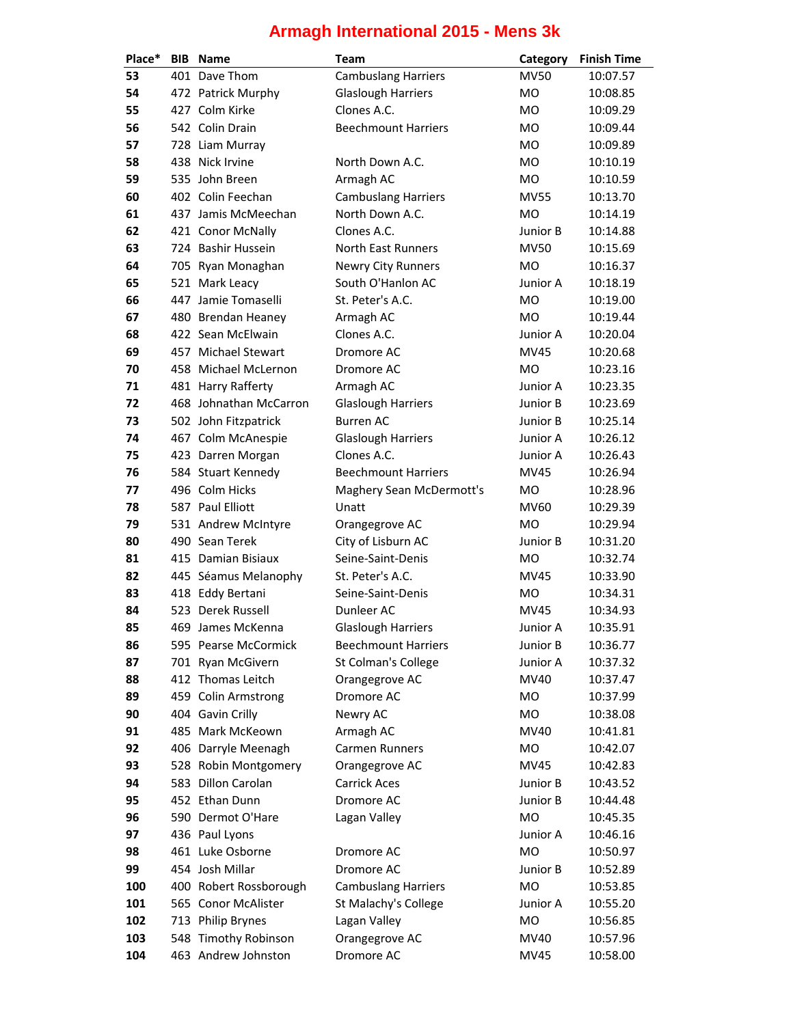| Place*     | <b>BIB</b> | <b>Name</b>                                   | Team                       | Category       | <b>Finish Time</b>   |
|------------|------------|-----------------------------------------------|----------------------------|----------------|----------------------|
| 53         |            | 401 Dave Thom                                 | <b>Cambuslang Harriers</b> | <b>MV50</b>    | 10:07.57             |
| 54         |            | 472 Patrick Murphy                            | <b>Glaslough Harriers</b>  | <b>MO</b>      | 10:08.85             |
| 55         |            | 427 Colm Kirke                                | Clones A.C.                | MO             | 10:09.29             |
| 56         |            | 542 Colin Drain                               | <b>Beechmount Harriers</b> | MO             | 10:09.44             |
| 57         |            | 728 Liam Murray                               |                            | MO             | 10:09.89             |
| 58         |            | 438 Nick Irvine                               | North Down A.C.            | MO             | 10:10.19             |
| 59         |            | 535 John Breen                                | Armagh AC                  | <b>MO</b>      | 10:10.59             |
| 60         |            | 402 Colin Feechan                             | <b>Cambuslang Harriers</b> | <b>MV55</b>    | 10:13.70             |
| 61         |            | 437 Jamis McMeechan                           | North Down A.C.            | <b>MO</b>      | 10:14.19             |
| 62         |            | 421 Conor McNally                             | Clones A.C.                | Junior B       | 10:14.88             |
| 63         |            | 724 Bashir Hussein                            | North East Runners         | <b>MV50</b>    | 10:15.69             |
| 64         |            | 705 Ryan Monaghan                             | <b>Newry City Runners</b>  | <b>MO</b>      | 10:16.37             |
| 65         |            | 521 Mark Leacy                                | South O'Hanlon AC          | Junior A       | 10:18.19             |
| 66         |            | 447 Jamie Tomaselli                           | St. Peter's A.C.           | <b>MO</b>      | 10:19.00             |
| 67         |            | 480 Brendan Heaney                            | Armagh AC                  | <b>MO</b>      | 10:19.44             |
| 68         |            | 422 Sean McElwain                             | Clones A.C.                | Junior A       | 10:20.04             |
| 69         |            | 457 Michael Stewart                           | Dromore AC                 | MV45           | 10:20.68             |
| 70         |            | 458 Michael McLernon                          | Dromore AC                 | M <sub>O</sub> | 10:23.16             |
| 71         |            | 481 Harry Rafferty                            | Armagh AC                  | Junior A       | 10:23.35             |
| 72         |            | 468 Johnathan McCarron                        | <b>Glaslough Harriers</b>  | Junior B       | 10:23.69             |
| 73         |            | 502 John Fitzpatrick                          | <b>Burren AC</b>           | Junior B       | 10:25.14             |
| 74         |            | 467 Colm McAnespie                            | <b>Glaslough Harriers</b>  | Junior A       | 10:26.12             |
| 75         |            | 423 Darren Morgan                             | Clones A.C.                | Junior A       | 10:26.43             |
| 76         |            | 584 Stuart Kennedy                            | <b>Beechmount Harriers</b> | MV45           | 10:26.94             |
| 77         |            | 496 Colm Hicks                                | Maghery Sean McDermott's   | <b>MO</b>      | 10:28.96             |
| 78         |            | 587 Paul Elliott                              | Unatt                      | <b>MV60</b>    | 10:29.39             |
| 79         |            | 531 Andrew McIntyre                           | Orangegrove AC             | <b>MO</b>      | 10:29.94             |
| 80         |            | 490 Sean Terek                                | City of Lisburn AC         | Junior B       | 10:31.20             |
| 81         |            | 415 Damian Bisiaux                            | Seine-Saint-Denis          | MO             | 10:32.74             |
| 82         |            | 445 Séamus Melanophy                          | St. Peter's A.C.           | <b>MV45</b>    | 10:33.90             |
| 83         |            | 418 Eddy Bertani                              | Seine-Saint-Denis          | MO             | 10:34.31             |
| 84         |            | 523 Derek Russell                             | Dunleer AC                 | <b>MV45</b>    | 10:34.93             |
| 85         |            | 469 James McKenna                             | <b>Glaslough Harriers</b>  | Junior A       | 10:35.91             |
| 86         |            | 595 Pearse McCormick                          | <b>Beechmount Harriers</b> | Junior B       | 10:36.77             |
| 87         |            | 701 Ryan McGivern                             | St Colman's College        | Junior A       | 10:37.32             |
| 88         |            | 412 Thomas Leitch                             | Orangegrove AC             | MV40           | 10:37.47             |
| 89         |            | 459 Colin Armstrong                           | Dromore AC                 | MO             | 10:37.99             |
| 90         |            | 404 Gavin Crilly                              | Newry AC                   | MO             | 10:38.08             |
| 91         |            | 485 Mark McKeown                              | Armagh AC                  | MV40           | 10:41.81             |
| 92         |            | 406 Darryle Meenagh                           | Carmen Runners             | <b>MO</b>      | 10:42.07             |
| 93         |            | 528 Robin Montgomery                          | Orangegrove AC             | MV45           | 10:42.83             |
| 94         |            | 583 Dillon Carolan                            | <b>Carrick Aces</b>        | Junior B       | 10:43.52             |
| 95         |            | 452 Ethan Dunn                                | Dromore AC                 | Junior B       |                      |
| 96         |            | 590 Dermot O'Hare                             | Lagan Valley               | <b>MO</b>      | 10:44.48<br>10:45.35 |
| 97         |            | 436 Paul Lyons                                |                            | Junior A       | 10:46.16             |
| 98         |            | 461 Luke Osborne                              |                            | MO             |                      |
|            |            |                                               | Dromore AC                 |                | 10:50.97             |
| 99         |            | 454 Josh Millar                               | Dromore AC                 | Junior B       | 10:52.89             |
| 100        |            | 400 Robert Rossborough<br>565 Conor McAlister | <b>Cambuslang Harriers</b> | <b>MO</b>      | 10:53.85             |
| 101<br>102 |            |                                               | St Malachy's College       | Junior A<br>MO | 10:55.20<br>10:56.85 |
|            |            | 713 Philip Brynes                             | Lagan Valley               |                |                      |
| 103        |            | 548 Timothy Robinson                          | Orangegrove AC             | MV40           | 10:57.96             |
| 104        |            | 463 Andrew Johnston                           | Dromore AC                 | <b>MV45</b>    | 10:58.00             |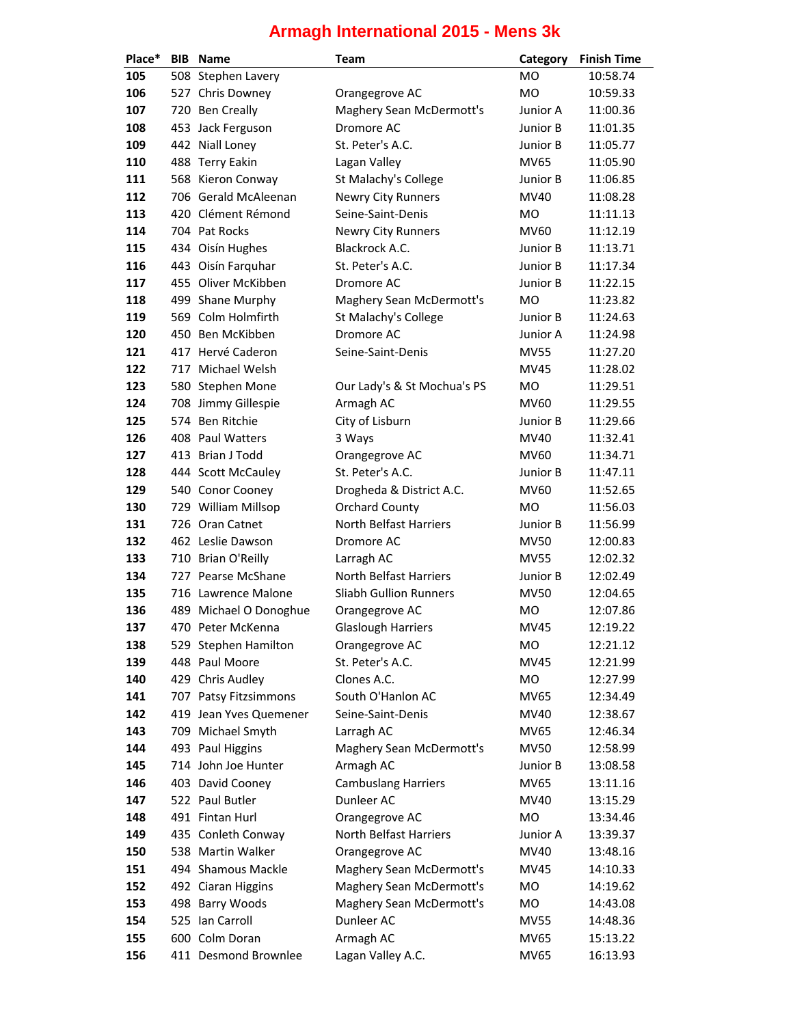| Place* | <b>BIB</b> | <b>Name</b>            | <b>Team</b>                   | Category    | <b>Finish Time</b> |
|--------|------------|------------------------|-------------------------------|-------------|--------------------|
| 105    |            | 508 Stephen Lavery     |                               | <b>MO</b>   | 10:58.74           |
| 106    |            | 527 Chris Downey       | Orangegrove AC                | <b>MO</b>   | 10:59.33           |
| 107    |            | 720 Ben Creally        | Maghery Sean McDermott's      | Junior A    | 11:00.36           |
| 108    |            | 453 Jack Ferguson      | Dromore AC                    | Junior B    | 11:01.35           |
| 109    |            | 442 Niall Loney        | St. Peter's A.C.              | Junior B    | 11:05.77           |
| 110    |            | 488 Terry Eakin        | Lagan Valley                  | <b>MV65</b> | 11:05.90           |
| 111    |            | 568 Kieron Conway      | St Malachy's College          | Junior B    | 11:06.85           |
| 112    |            | 706 Gerald McAleenan   | Newry City Runners            | MV40        | 11:08.28           |
| 113    |            | 420 Clément Rémond     | Seine-Saint-Denis             | <b>MO</b>   | 11:11.13           |
| 114    |            | 704 Pat Rocks          | Newry City Runners            | <b>MV60</b> | 11:12.19           |
| 115    |            | 434 Oisín Hughes       | Blackrock A.C.                | Junior B    | 11:13.71           |
| 116    |            | 443 Oisín Farquhar     | St. Peter's A.C.              | Junior B    | 11:17.34           |
| 117    |            | 455 Oliver McKibben    | Dromore AC                    | Junior B    | 11:22.15           |
| 118    |            | 499 Shane Murphy       | Maghery Sean McDermott's      | <b>MO</b>   | 11:23.82           |
| 119    |            | 569 Colm Holmfirth     | St Malachy's College          | Junior B    | 11:24.63           |
| 120    |            | 450 Ben McKibben       | Dromore AC                    | Junior A    | 11:24.98           |
| 121    |            | 417 Hervé Caderon      | Seine-Saint-Denis             | <b>MV55</b> | 11:27.20           |
| 122    |            | 717 Michael Welsh      |                               | <b>MV45</b> | 11:28.02           |
| 123    |            | 580 Stephen Mone       | Our Lady's & St Mochua's PS   | MO          | 11:29.51           |
| 124    |            | 708 Jimmy Gillespie    | Armagh AC                     | <b>MV60</b> | 11:29.55           |
| 125    |            | 574 Ben Ritchie        | City of Lisburn               | Junior B    | 11:29.66           |
| 126    |            | 408 Paul Watters       | 3 Ways                        | MV40        | 11:32.41           |
| 127    |            | 413 Brian J Todd       | Orangegrove AC                | <b>MV60</b> | 11:34.71           |
| 128    |            | 444 Scott McCauley     | St. Peter's A.C.              | Junior B    | 11:47.11           |
| 129    |            | 540 Conor Cooney       | Drogheda & District A.C.      | MV60        | 11:52.65           |
| 130    |            | 729 William Millsop    | <b>Orchard County</b>         | <b>MO</b>   | 11:56.03           |
| 131    |            | 726 Oran Catnet        | North Belfast Harriers        | Junior B    | 11:56.99           |
| 132    |            | 462 Leslie Dawson      | Dromore AC                    | <b>MV50</b> | 12:00.83           |
| 133    |            | 710 Brian O'Reilly     | Larragh AC                    | <b>MV55</b> | 12:02.32           |
| 134    |            | 727 Pearse McShane     | <b>North Belfast Harriers</b> | Junior B    | 12:02.49           |
| 135    |            | 716 Lawrence Malone    | <b>Sliabh Gullion Runners</b> | <b>MV50</b> | 12:04.65           |
| 136    |            | 489 Michael O Donoghue | Orangegrove AC                | <b>MO</b>   | 12:07.86           |
| 137    |            | 470 Peter McKenna      | <b>Glaslough Harriers</b>     | <b>MV45</b> | 12:19.22           |
| 138    |            | 529 Stephen Hamilton   | Orangegrove AC                | <b>MO</b>   | 12:21.12           |
| 139    |            | 448 Paul Moore         | St. Peter's A.C.              | MV45        | 12:21.99           |
| 140    |            | 429 Chris Audley       | Clones A.C.                   | MO          | 12:27.99           |
| 141    |            | 707 Patsy Fitzsimmons  | South O'Hanlon AC             | <b>MV65</b> | 12:34.49           |
| 142    |            | 419 Jean Yves Quemener | Seine-Saint-Denis             | MV40        | 12:38.67           |
| 143    |            | 709 Michael Smyth      | Larragh AC                    | <b>MV65</b> | 12:46.34           |
| 144    |            | 493 Paul Higgins       | Maghery Sean McDermott's      | <b>MV50</b> | 12:58.99           |
| 145    |            | 714 John Joe Hunter    | Armagh AC                     | Junior B    | 13:08.58           |
| 146    |            | 403 David Cooney       | <b>Cambuslang Harriers</b>    | <b>MV65</b> | 13:11.16           |
| 147    |            | 522 Paul Butler        | Dunleer AC                    | MV40        | 13:15.29           |
| 148    |            | 491 Fintan Hurl        | Orangegrove AC                | MO          | 13:34.46           |
| 149    |            | 435 Conleth Conway     | North Belfast Harriers        | Junior A    | 13:39.37           |
| 150    |            | 538 Martin Walker      | Orangegrove AC                | MV40        | 13:48.16           |
| 151    |            | 494 Shamous Mackle     | Maghery Sean McDermott's      | <b>MV45</b> | 14:10.33           |
| 152    |            | 492 Ciaran Higgins     | Maghery Sean McDermott's      | MO          | 14:19.62           |
| 153    |            | 498 Barry Woods        | Maghery Sean McDermott's      | MO          | 14:43.08           |
| 154    |            | 525 Ian Carroll        | Dunleer AC                    | <b>MV55</b> | 14:48.36           |
| 155    |            | 600 Colm Doran         | Armagh AC                     | <b>MV65</b> | 15:13.22           |
| 156    |            | 411 Desmond Brownlee   | Lagan Valley A.C.             | MV65        | 16:13.93           |